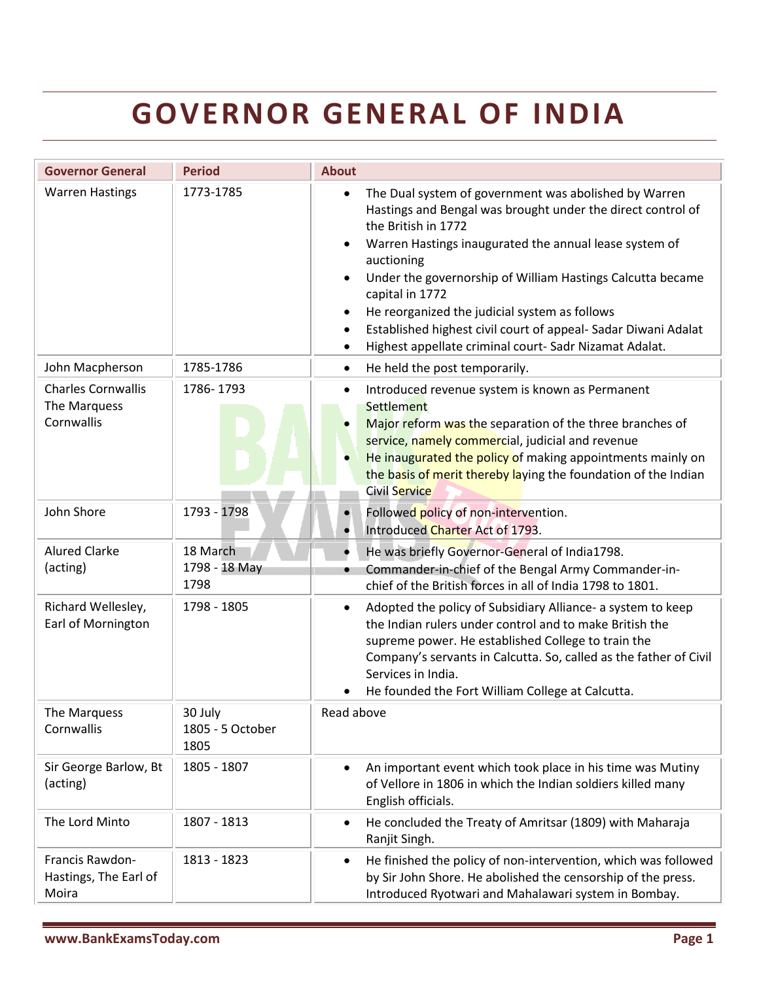## **GOVERNOR GENERAL OF INDIA**

| <b>Governor General</b>                                 | <b>Period</b>                       | <b>About</b>                                                                                                                                                                                                                                                                                                                                                                                                                                                                                   |
|---------------------------------------------------------|-------------------------------------|------------------------------------------------------------------------------------------------------------------------------------------------------------------------------------------------------------------------------------------------------------------------------------------------------------------------------------------------------------------------------------------------------------------------------------------------------------------------------------------------|
| <b>Warren Hastings</b>                                  | 1773-1785                           | The Dual system of government was abolished by Warren<br>$\bullet$<br>Hastings and Bengal was brought under the direct control of<br>the British in 1772<br>Warren Hastings inaugurated the annual lease system of<br>auctioning<br>Under the governorship of William Hastings Calcutta became<br>capital in 1772<br>He reorganized the judicial system as follows<br>Established highest civil court of appeal- Sadar Diwani Adalat<br>Highest appellate criminal court- Sadr Nizamat Adalat. |
| John Macpherson                                         | 1785-1786                           | He held the post temporarily.<br>$\bullet$                                                                                                                                                                                                                                                                                                                                                                                                                                                     |
| <b>Charles Cornwallis</b><br>The Marquess<br>Cornwallis | 1786-1793                           | Introduced revenue system is known as Permanent<br>Settlement<br>Major reform was the separation of the three branches of<br>service, namely commercial, judicial and revenue<br>He inaugurated the policy of making appointments mainly on<br>the basis of merit thereby laying the foundation of the Indian<br>Civil Service                                                                                                                                                                 |
| John Shore                                              | 1793 - 1798                         | Followed policy of non-intervention.<br>$\bullet$<br>Introduced Charter Act of 1793.                                                                                                                                                                                                                                                                                                                                                                                                           |
| <b>Alured Clarke</b><br>(acting)                        | 18 March<br>1798 - 18 May<br>1798   | He was briefly Governor-General of India1798.<br>Commander-in-chief of the Bengal Army Commander-in-<br>chief of the British forces in all of India 1798 to 1801.                                                                                                                                                                                                                                                                                                                              |
| Richard Wellesley,<br>Earl of Mornington                | 1798 - 1805                         | Adopted the policy of Subsidiary Alliance- a system to keep<br>$\bullet$<br>the Indian rulers under control and to make British the<br>supreme power. He established College to train the<br>Company's servants in Calcutta. So, called as the father of Civil<br>Services in India.<br>He founded the Fort William College at Calcutta.                                                                                                                                                       |
| The Marquess<br>Cornwallis                              | 30 July<br>1805 - 5 October<br>1805 | Read above                                                                                                                                                                                                                                                                                                                                                                                                                                                                                     |
| Sir George Barlow, Bt<br>(acting)                       | 1805 - 1807                         | An important event which took place in his time was Mutiny<br>of Vellore in 1806 in which the Indian soldiers killed many<br>English officials.                                                                                                                                                                                                                                                                                                                                                |
| The Lord Minto                                          | 1807 - 1813                         | He concluded the Treaty of Amritsar (1809) with Maharaja<br>$\bullet$<br>Ranjit Singh.                                                                                                                                                                                                                                                                                                                                                                                                         |
| Francis Rawdon-<br>Hastings, The Earl of<br>Moira       | 1813 - 1823                         | He finished the policy of non-intervention, which was followed<br>$\bullet$<br>by Sir John Shore. He abolished the censorship of the press.<br>Introduced Ryotwari and Mahalawari system in Bombay.                                                                                                                                                                                                                                                                                            |